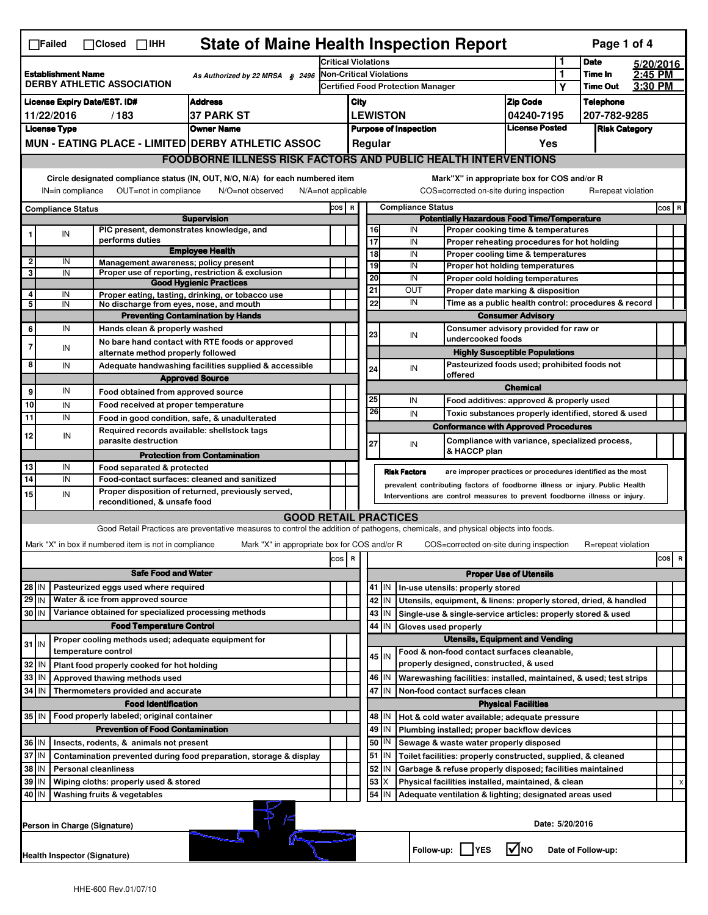|                                                                                                                                                                                                                                                                                       | <b>State of Maine Health Inspection Report</b><br>Page 1 of 4<br>$\Box$ Failed<br>$\Box$ Closed $\Box$ IHH |                                                                     |                                                                                                                                   |                                                                                                                                                            |                                                  |                               |                                                           |                                                                    |                                                                                   |                  |                    |         |           |  |
|---------------------------------------------------------------------------------------------------------------------------------------------------------------------------------------------------------------------------------------------------------------------------------------|------------------------------------------------------------------------------------------------------------|---------------------------------------------------------------------|-----------------------------------------------------------------------------------------------------------------------------------|------------------------------------------------------------------------------------------------------------------------------------------------------------|--------------------------------------------------|-------------------------------|-----------------------------------------------------------|--------------------------------------------------------------------|-----------------------------------------------------------------------------------|------------------|--------------------|---------|-----------|--|
|                                                                                                                                                                                                                                                                                       |                                                                                                            |                                                                     |                                                                                                                                   |                                                                                                                                                            | <b>Critical Violations</b>                       |                               |                                                           |                                                                    |                                                                                   |                  | <b>Date</b>        |         | 5/20/2016 |  |
| <b>Establishment Name</b><br>As Authorized by 22 MRSA § 2496<br><b>DERBY ATHLETIC ASSOCIATION</b>                                                                                                                                                                                     |                                                                                                            |                                                                     |                                                                                                                                   | <b>Non-Critical Violations</b>                                                                                                                             |                                                  |                               |                                                           | 1                                                                  | Time In                                                                           | 2:45 PM          |                    |         |           |  |
|                                                                                                                                                                                                                                                                                       |                                                                                                            |                                                                     |                                                                                                                                   |                                                                                                                                                            |                                                  |                               |                                                           | <b>Certified Food Protection Manager</b>                           |                                                                                   | Υ                | <b>Time Out</b>    | 3:30 PM |           |  |
| <b>Address</b><br><b>License Expiry Date/EST. ID#</b>                                                                                                                                                                                                                                 |                                                                                                            |                                                                     |                                                                                                                                   | City                                                                                                                                                       |                                                  |                               |                                                           | <b>Zip Code</b>                                                    |                                                                                   | <b>Telephone</b> |                    |         |           |  |
| /183<br><b>37 PARK ST</b><br>11/22/2016                                                                                                                                                                                                                                               |                                                                                                            |                                                                     |                                                                                                                                   | <b>LEWISTON</b><br>04240-7195                                                                                                                              |                                                  |                               |                                                           |                                                                    |                                                                                   | 207-782-9285     |                    |         |           |  |
| <b>License Type</b><br><b>Owner Name</b>                                                                                                                                                                                                                                              |                                                                                                            |                                                                     |                                                                                                                                   | <b>License Posted</b><br><b>Purpose of Inspection</b><br>Regular                                                                                           |                                                  |                               |                                                           |                                                                    | <b>Risk Category</b>                                                              |                  |                    |         |           |  |
|                                                                                                                                                                                                                                                                                       | MUN - EATING PLACE - LIMITED DERBY ATHLETIC ASSOC                                                          |                                                                     |                                                                                                                                   |                                                                                                                                                            |                                                  |                               |                                                           |                                                                    | Yes                                                                               |                  |                    |         |           |  |
| <b>FOODBORNE ILLNESS RISK FACTORS AND PUBLIC HEALTH INTERVENTIONS</b>                                                                                                                                                                                                                 |                                                                                                            |                                                                     |                                                                                                                                   |                                                                                                                                                            |                                                  |                               |                                                           |                                                                    |                                                                                   |                  |                    |         |           |  |
| Circle designated compliance status (IN, OUT, N/O, N/A) for each numbered item<br>Mark"X" in appropriate box for COS and/or R<br>OUT=not in compliance<br>N/O=not observed<br>COS=corrected on-site during inspection<br>R=repeat violation<br>IN=in compliance<br>N/A=not applicable |                                                                                                            |                                                                     |                                                                                                                                   |                                                                                                                                                            |                                                  |                               |                                                           |                                                                    |                                                                                   |                  |                    |         |           |  |
| <b>Compliance Status</b>                                                                                                                                                                                                                                                              |                                                                                                            |                                                                     |                                                                                                                                   |                                                                                                                                                            | <b>Compliance Status</b><br>cos  <br>$\mathbf R$ |                               |                                                           |                                                                    |                                                                                   |                  |                    | COS R   |           |  |
|                                                                                                                                                                                                                                                                                       |                                                                                                            |                                                                     | <b>Supervision</b>                                                                                                                |                                                                                                                                                            |                                                  |                               |                                                           | <b>Potentially Hazardous Food Time/Temperature</b>                 |                                                                                   |                  |                    |         |           |  |
|                                                                                                                                                                                                                                                                                       | IN                                                                                                         | PIC present, demonstrates knowledge, and<br>performs duties         |                                                                                                                                   |                                                                                                                                                            |                                                  | 16<br>17                      |                                                           | IN<br>IN                                                           | Proper cooking time & temperatures<br>Proper reheating procedures for hot holding |                  |                    |         |           |  |
|                                                                                                                                                                                                                                                                                       |                                                                                                            |                                                                     | <b>Employee Health</b>                                                                                                            |                                                                                                                                                            |                                                  | $\overline{18}$               |                                                           | IN                                                                 | Proper cooling time & temperatures                                                |                  |                    |         |           |  |
| $\overline{\mathbf{2}}$                                                                                                                                                                                                                                                               | IN                                                                                                         | Management awareness; policy present                                |                                                                                                                                   |                                                                                                                                                            |                                                  | 19                            |                                                           | IN                                                                 | Proper hot holding temperatures                                                   |                  |                    |         |           |  |
| 3                                                                                                                                                                                                                                                                                     | IN                                                                                                         |                                                                     | Proper use of reporting, restriction & exclusion<br><b>Good Hygienic Practices</b>                                                |                                                                                                                                                            |                                                  | 20                            |                                                           | IN                                                                 | Proper cold holding temperatures                                                  |                  |                    |         |           |  |
| 4                                                                                                                                                                                                                                                                                     | IN                                                                                                         |                                                                     | Proper eating, tasting, drinking, or tobacco use                                                                                  |                                                                                                                                                            |                                                  | 21                            |                                                           | OUT                                                                | Proper date marking & disposition                                                 |                  |                    |         |           |  |
| 5                                                                                                                                                                                                                                                                                     | IN                                                                                                         | No discharge from eyes, nose, and mouth                             |                                                                                                                                   |                                                                                                                                                            |                                                  | 22                            |                                                           | IN                                                                 | Time as a public health control: procedures & record                              |                  |                    |         |           |  |
|                                                                                                                                                                                                                                                                                       |                                                                                                            |                                                                     | <b>Preventing Contamination by Hands</b>                                                                                          |                                                                                                                                                            |                                                  |                               |                                                           | <b>Consumer Advisory</b>                                           |                                                                                   |                  |                    |         |           |  |
| 6                                                                                                                                                                                                                                                                                     | IN                                                                                                         | Hands clean & properly washed                                       |                                                                                                                                   |                                                                                                                                                            |                                                  | 23                            |                                                           | IN                                                                 | Consumer advisory provided for raw or                                             |                  |                    |         |           |  |
| $\overline{7}$                                                                                                                                                                                                                                                                        | IN                                                                                                         |                                                                     | No bare hand contact with RTE foods or approved                                                                                   |                                                                                                                                                            |                                                  |                               |                                                           | undercooked foods                                                  |                                                                                   |                  |                    |         |           |  |
|                                                                                                                                                                                                                                                                                       |                                                                                                            | alternate method properly followed                                  |                                                                                                                                   |                                                                                                                                                            |                                                  |                               |                                                           |                                                                    | <b>Highly Susceptible Populations</b>                                             |                  |                    |         |           |  |
| 8                                                                                                                                                                                                                                                                                     | IN                                                                                                         |                                                                     | Adequate handwashing facilities supplied & accessible                                                                             |                                                                                                                                                            |                                                  | 24                            |                                                           | IN<br>offered                                                      | Pasteurized foods used; prohibited foods not                                      |                  |                    |         |           |  |
|                                                                                                                                                                                                                                                                                       |                                                                                                            |                                                                     | <b>Approved Source</b>                                                                                                            |                                                                                                                                                            |                                                  |                               |                                                           |                                                                    | <b>Chemical</b>                                                                   |                  |                    |         |           |  |
| 9                                                                                                                                                                                                                                                                                     | IN                                                                                                         | Food obtained from approved source                                  |                                                                                                                                   |                                                                                                                                                            |                                                  | 25                            |                                                           | IN                                                                 | Food additives: approved & properly used                                          |                  |                    |         |           |  |
| 10                                                                                                                                                                                                                                                                                    | IN                                                                                                         | Food received at proper temperature                                 |                                                                                                                                   |                                                                                                                                                            |                                                  | 26                            |                                                           | IN                                                                 | Toxic substances properly identified, stored & used                               |                  |                    |         |           |  |
| $\overline{11}$                                                                                                                                                                                                                                                                       | IN                                                                                                         |                                                                     | Food in good condition, safe, & unadulterated                                                                                     |                                                                                                                                                            |                                                  |                               |                                                           | <b>Conformance with Approved Procedures</b>                        |                                                                                   |                  |                    |         |           |  |
| 12                                                                                                                                                                                                                                                                                    | IN                                                                                                         | Required records available: shellstock tags<br>parasite destruction |                                                                                                                                   |                                                                                                                                                            |                                                  | 27                            |                                                           | IN                                                                 | Compliance with variance, specialized process,                                    |                  |                    |         |           |  |
|                                                                                                                                                                                                                                                                                       |                                                                                                            |                                                                     | <b>Protection from Contamination</b>                                                                                              |                                                                                                                                                            |                                                  |                               |                                                           | & HACCP plan                                                       |                                                                                   |                  |                    |         |           |  |
| 13                                                                                                                                                                                                                                                                                    | IN                                                                                                         | Food separated & protected                                          |                                                                                                                                   |                                                                                                                                                            |                                                  |                               |                                                           | <b>Risk Factors</b>                                                | are improper practices or procedures identified as the most                       |                  |                    |         |           |  |
| 14                                                                                                                                                                                                                                                                                    | IN                                                                                                         |                                                                     | Food-contact surfaces: cleaned and sanitized                                                                                      |                                                                                                                                                            |                                                  |                               |                                                           |                                                                    |                                                                                   |                  |                    |         |           |  |
| 15                                                                                                                                                                                                                                                                                    | IN                                                                                                         |                                                                     | Proper disposition of returned, previously served,                                                                                | prevalent contributing factors of foodborne illness or injury. Public Health<br>Interventions are control measures to prevent foodborne illness or injury. |                                                  |                               |                                                           |                                                                    |                                                                                   |                  |                    |         |           |  |
|                                                                                                                                                                                                                                                                                       |                                                                                                            | reconditioned, & unsafe food                                        |                                                                                                                                   |                                                                                                                                                            |                                                  |                               |                                                           |                                                                    |                                                                                   |                  |                    |         |           |  |
|                                                                                                                                                                                                                                                                                       |                                                                                                            |                                                                     | <b>GOOD RETAIL PRACTICES</b>                                                                                                      |                                                                                                                                                            |                                                  |                               |                                                           |                                                                    |                                                                                   |                  |                    |         |           |  |
|                                                                                                                                                                                                                                                                                       |                                                                                                            |                                                                     | Good Retail Practices are preventative measures to control the addition of pathogens, chemicals, and physical objects into foods. |                                                                                                                                                            |                                                  |                               |                                                           |                                                                    |                                                                                   |                  |                    |         |           |  |
|                                                                                                                                                                                                                                                                                       |                                                                                                            | Mark "X" in box if numbered item is not in compliance               | Mark "X" in appropriate box for COS and/or R                                                                                      |                                                                                                                                                            |                                                  |                               |                                                           | COS=corrected on-site during inspection                            |                                                                                   |                  | R=repeat violation |         |           |  |
|                                                                                                                                                                                                                                                                                       |                                                                                                            |                                                                     |                                                                                                                                   | cos R                                                                                                                                                      |                                                  |                               |                                                           |                                                                    |                                                                                   |                  |                    |         | cos<br>R  |  |
| <b>Safe Food and Water</b>                                                                                                                                                                                                                                                            |                                                                                                            |                                                                     |                                                                                                                                   |                                                                                                                                                            |                                                  | <b>Proper Use of Utensils</b> |                                                           |                                                                    |                                                                                   |                  |                    |         |           |  |
| $28$ IN                                                                                                                                                                                                                                                                               |                                                                                                            | Pasteurized eggs used where required                                |                                                                                                                                   |                                                                                                                                                            |                                                  | 41                            | IN                                                        | In-use utensils: properly stored                                   |                                                                                   |                  |                    |         |           |  |
| $29$ IN                                                                                                                                                                                                                                                                               |                                                                                                            | Water & ice from approved source                                    |                                                                                                                                   |                                                                                                                                                            |                                                  |                               | 42 IN                                                     | Utensils, equipment, & linens: properly stored, dried, & handled   |                                                                                   |                  |                    |         |           |  |
| 30 IN                                                                                                                                                                                                                                                                                 |                                                                                                            | Variance obtained for specialized processing methods                |                                                                                                                                   |                                                                                                                                                            |                                                  |                               | $43$ IN                                                   | Single-use & single-service articles: properly stored & used       |                                                                                   |                  |                    |         |           |  |
| <b>Food Temperature Control</b>                                                                                                                                                                                                                                                       |                                                                                                            |                                                                     |                                                                                                                                   |                                                                                                                                                            |                                                  | 44                            | IN                                                        | Gloves used properly                                               |                                                                                   |                  |                    |         |           |  |
| $31$ IN                                                                                                                                                                                                                                                                               |                                                                                                            | Proper cooling methods used; adequate equipment for                 |                                                                                                                                   |                                                                                                                                                            |                                                  |                               |                                                           |                                                                    | <b>Utensils, Equipment and Vending</b>                                            |                  |                    |         |           |  |
|                                                                                                                                                                                                                                                                                       |                                                                                                            | temperature control                                                 |                                                                                                                                   |                                                                                                                                                            |                                                  |                               | 45 IN                                                     | Food & non-food contact surfaces cleanable,                        |                                                                                   |                  |                    |         |           |  |
| 32                                                                                                                                                                                                                                                                                    | IN                                                                                                         | Plant food properly cooked for hot holding                          |                                                                                                                                   |                                                                                                                                                            |                                                  |                               |                                                           | properly designed, constructed, & used                             |                                                                                   |                  |                    |         |           |  |
| 33                                                                                                                                                                                                                                                                                    | IN                                                                                                         | Approved thawing methods used                                       |                                                                                                                                   |                                                                                                                                                            |                                                  |                               | 46 IN                                                     | Warewashing facilities: installed, maintained, & used; test strips |                                                                                   |                  |                    |         |           |  |
| 34                                                                                                                                                                                                                                                                                    | l IN                                                                                                       | Thermometers provided and accurate                                  |                                                                                                                                   |                                                                                                                                                            |                                                  |                               | 47 IN                                                     | Non-food contact surfaces clean                                    |                                                                                   |                  |                    |         |           |  |
|                                                                                                                                                                                                                                                                                       |                                                                                                            | <b>Food Identification</b>                                          |                                                                                                                                   |                                                                                                                                                            |                                                  |                               |                                                           |                                                                    | <b>Physical Facilities</b>                                                        |                  |                    |         |           |  |
| Food properly labeled; original container<br>35 IN                                                                                                                                                                                                                                    |                                                                                                            |                                                                     |                                                                                                                                   |                                                                                                                                                            |                                                  |                               | 48   IN                                                   | Hot & cold water available; adequate pressure                      |                                                                                   |                  |                    |         |           |  |
| <b>Prevention of Food Contamination</b>                                                                                                                                                                                                                                               |                                                                                                            |                                                                     |                                                                                                                                   |                                                                                                                                                            | 49                                               | IN                            | Plumbing installed; proper backflow devices               |                                                                    |                                                                                   |                  |                    |         |           |  |
| 36 IN                                                                                                                                                                                                                                                                                 |                                                                                                            | Insects, rodents, & animals not present                             |                                                                                                                                   |                                                                                                                                                            |                                                  | 50                            | IN                                                        | Sewage & waste water properly disposed                             |                                                                                   |                  |                    |         |           |  |
| 37 IN<br>Contamination prevented during food preparation, storage & display                                                                                                                                                                                                           |                                                                                                            |                                                                     |                                                                                                                                   |                                                                                                                                                            |                                                  |                               | $51$ $\vert$ IN                                           | Toilet facilities: properly constructed, supplied, & cleaned       |                                                                                   |                  |                    |         |           |  |
| 38<br>IN<br><b>Personal cleanliness</b>                                                                                                                                                                                                                                               |                                                                                                            |                                                                     |                                                                                                                                   |                                                                                                                                                            | 52                                               | ΙN                            | Garbage & refuse properly disposed; facilities maintained |                                                                    |                                                                                   |                  |                    |         |           |  |
| 39                                                                                                                                                                                                                                                                                    | IN                                                                                                         | Wiping cloths: properly used & stored                               |                                                                                                                                   |                                                                                                                                                            |                                                  | 53                            | X                                                         | Physical facilities installed, maintained, & clean                 |                                                                                   |                  |                    |         |           |  |
| 40 IN                                                                                                                                                                                                                                                                                 |                                                                                                            | Washing fruits & vegetables                                         |                                                                                                                                   |                                                                                                                                                            |                                                  | 54                            | IN                                                        | Adequate ventilation & lighting; designated areas used             |                                                                                   |                  |                    |         |           |  |
| Date: 5/20/2016<br>Person in Charge (Signature)                                                                                                                                                                                                                                       |                                                                                                            |                                                                     |                                                                                                                                   |                                                                                                                                                            |                                                  |                               |                                                           |                                                                    |                                                                                   |                  |                    |         |           |  |
| l√lno<br>Follow-up:     YES<br>Date of Follow-up:<br>Health Inspector (Signature)                                                                                                                                                                                                     |                                                                                                            |                                                                     |                                                                                                                                   |                                                                                                                                                            |                                                  |                               |                                                           |                                                                    |                                                                                   |                  |                    |         |           |  |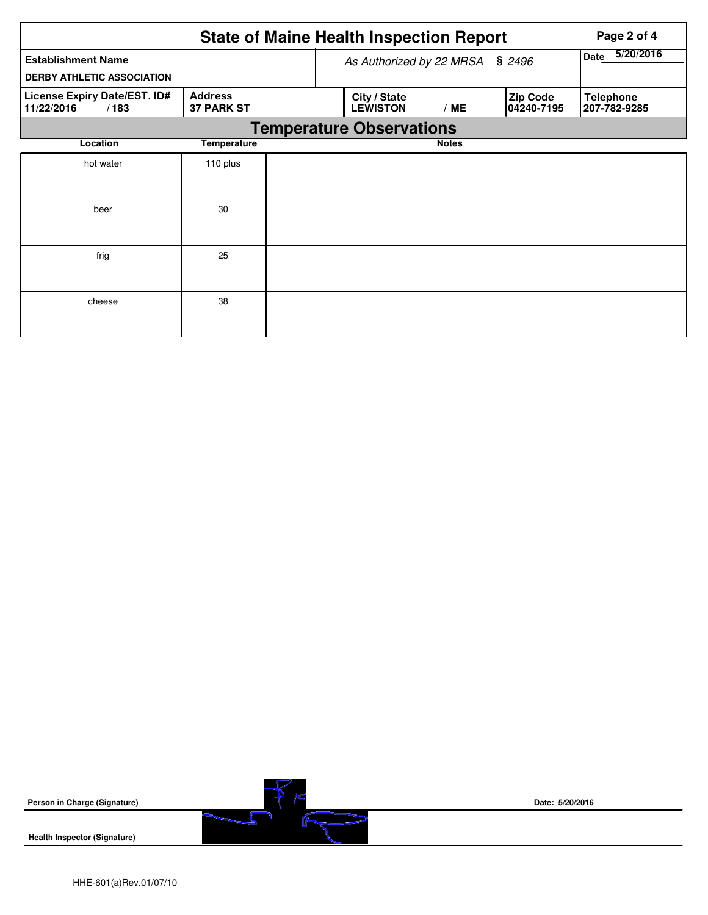|                                                                |                                     |  | <b>State of Maine Health Inspection Report</b> |                   |                               | Page 2 of 4                      |  |  |  |
|----------------------------------------------------------------|-------------------------------------|--|------------------------------------------------|-------------------|-------------------------------|----------------------------------|--|--|--|
| <b>Establishment Name</b><br><b>DERBY ATHLETIC ASSOCIATION</b> |                                     |  | As Authorized by 22 MRSA                       | 5/20/2016<br>Date |                               |                                  |  |  |  |
| License Expiry Date/EST. ID#<br>11/22/2016<br>/183             | <b>Address</b><br><b>37 PARK ST</b> |  | City / State<br><b>LEWISTON</b>                | /ME               | <b>Zip Code</b><br>04240-7195 | <b>Telephone</b><br>207-782-9285 |  |  |  |
| <b>Temperature Observations</b>                                |                                     |  |                                                |                   |                               |                                  |  |  |  |
| Location                                                       | Temperature                         |  |                                                | <b>Notes</b>      |                               |                                  |  |  |  |
| hot water                                                      | 110 plus                            |  |                                                |                   |                               |                                  |  |  |  |
| beer                                                           | 30                                  |  |                                                |                   |                               |                                  |  |  |  |
| frig                                                           | 25                                  |  |                                                |                   |                               |                                  |  |  |  |
| cheese                                                         | 38                                  |  |                                                |                   |                               |                                  |  |  |  |

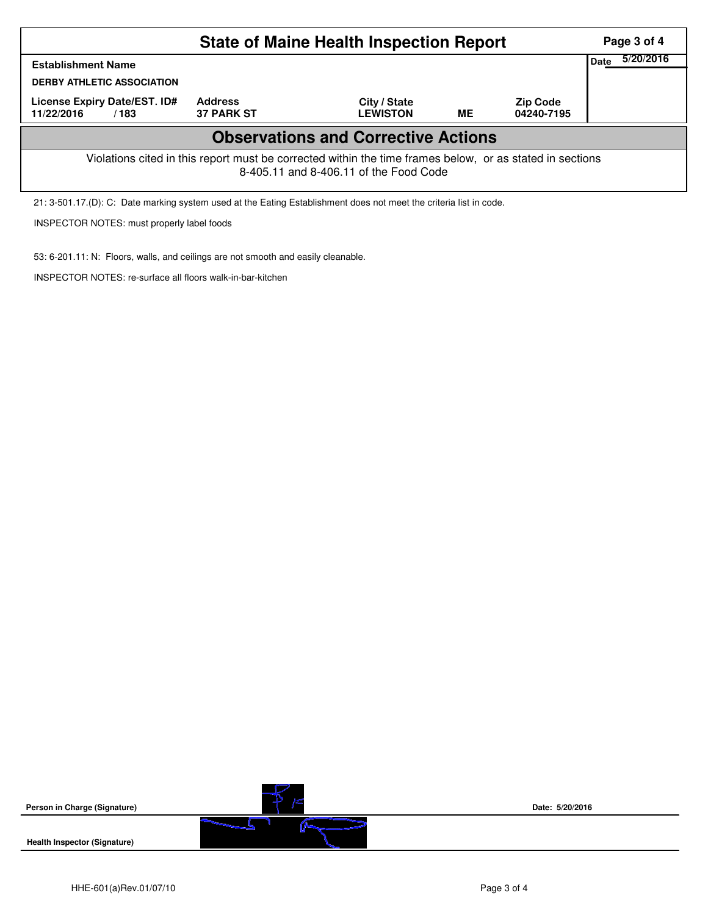| <b>State of Maine Health Inspection Report</b>                                                                                                     |                                     |                                            |           |                               |                   |  |  |
|----------------------------------------------------------------------------------------------------------------------------------------------------|-------------------------------------|--------------------------------------------|-----------|-------------------------------|-------------------|--|--|
| <b>Establishment Name</b>                                                                                                                          |                                     |                                            |           |                               | 5/20/2016<br>Date |  |  |
| <b>DERBY ATHLETIC ASSOCIATION</b>                                                                                                                  |                                     |                                            |           |                               |                   |  |  |
| License Expiry Date/EST. ID#<br>11/22/2016<br>/183                                                                                                 | <b>Address</b><br><b>37 PARK ST</b> | City / State<br><b>LEWISTON</b>            | <b>ME</b> | <b>Zip Code</b><br>04240-7195 |                   |  |  |
|                                                                                                                                                    |                                     | <b>Observations and Corrective Actions</b> |           |                               |                   |  |  |
| Violations cited in this report must be corrected within the time frames below, or as stated in sections<br>8-405.11 and 8-406.11 of the Food Code |                                     |                                            |           |                               |                   |  |  |
| 21: 3-501.17.(D): C: Date marking system used at the Eating Establishment does not meet the criteria list in code.                                 |                                     |                                            |           |                               |                   |  |  |

INSPECTOR NOTES: must properly label foods

53: 6-201.11: N: Floors, walls, and ceilings are not smooth and easily cleanable.

INSPECTOR NOTES: re-surface all floors walk-in-bar-kitchen